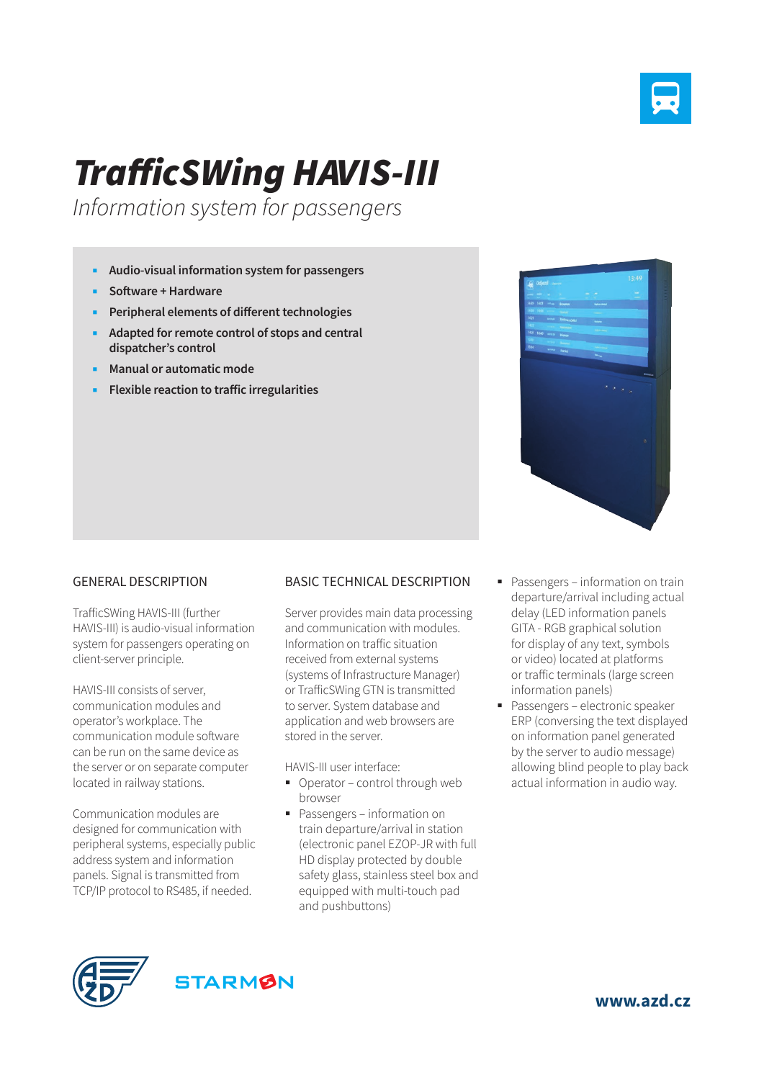

## *TrafficSWing HAVIS-III*

*Information system for passengers*

- **Audio-visual information system for passengers**
- **Software + Hardware**
- **Peripheral elements of different technologies**
- **Adapted for remote control of stops and central dispatcher's control**
- **Manual or automatic mode**
- **Flexible reaction to traffic irregularities**



## GENERAL DESCRIPTION

TrafficSWing HAVIS-III (further HAVIS-III) is audio-visual information system for passengers operating on client-server principle.

HAVIS-III consists of server, communication modules and operator's workplace. The communication module software can be run on the same device as the server or on separate computer located in railway stations.

Communication modules are designed for communication with peripheral systems, especially public address system and information panels. Signal is transmitted from TCP/IP protocol to RS485, if needed.

## BASIC TECHNICAL DESCRIPTION

Server provides main data processing and communication with modules. Information on traffic situation received from external systems (systems of Infrastructure Manager) or TrafficSWing GTN is transmitted to server. System database and application and web browsers are stored in the server.

HAVIS-III user interface:

- Operator control through web browser
- Passengers information on train departure/arrival in station (electronic panel EZOP-JR with full HD display protected by double safety glass, stainless steel box and equipped with multi-touch pad and pushbuttons)
- Passengers information on train departure/arrival including actual delay (LED information panels GITA - RGB graphical solution for display of any text, symbols or video) located at platforms or traffic terminals (large screen information panels)
- **Passengers electronic speaker** ERP (conversing the text displayed on information panel generated by the server to audio message) allowing blind people to play back actual information in audio way.